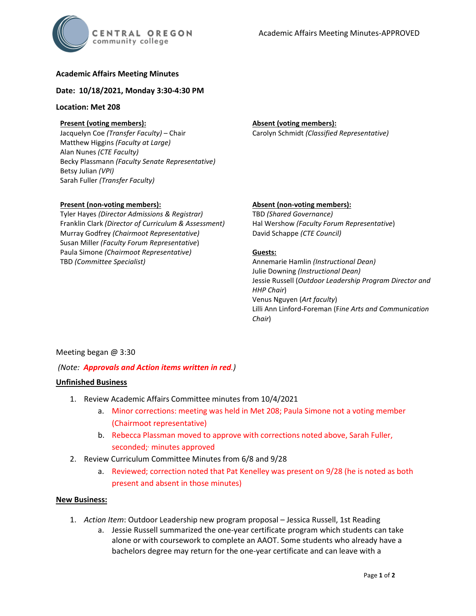

# **Academic Affairs Meeting Minutes**

# **Date: 10/18/2021, Monday 3:30-4:30 PM**

# **Location: Met 208**

# **Present (voting members):**

Jacquelyn Coe *(Transfer Faculty)* – Chair Matthew Higgins *(Faculty at Large)* Alan Nunes *(CTE Faculty)* Becky Plassmann *(Faculty Senate Representative)* Betsy Julian *(VPI)* Sarah Fuller *(Transfer Faculty)*

### **Present (non-voting members):**

Tyler Hayes *(Director Admissions & Registrar)* Franklin Clark *(Director of Curriculum & Assessment)* Murray Godfrey *(Chairmoot Representative)* Susan Miller *(Faculty Forum Representative*) Paula Simone *(Chairmoot Representative)* TBD *(Committee Specialist)*

## **Absent (voting members):** Carolyn Schmidt *(Classified Representative)*

## **Absent (non-voting members):**

TBD *(Shared Governance)* Hal Wershow *(Faculty Forum Representative*) David Schappe *(CTE Council)*

### **Guests:**

Annemarie Hamlin *(Instructional Dean)* Julie Downing *(Instructional Dean)* Jessie Russell (*Outdoor Leadership Program Director and HHP Chair*) Venus Nguyen (*Art faculty*) Lilli Ann Linford-Foreman (F*ine Arts and Communication Chair*)

# Meeting began @ 3:30

# *(Note: Approvals and Action items written in red.)*

### **Unfinished Business**

- 1. Review Academic Affairs Committee minutes from 10/4/2021
	- a. Minor corrections: meeting was held in Met 208; Paula Simone not a voting member (Chairmoot representative)
	- b. Rebecca Plassman moved to approve with corrections noted above, Sarah Fuller, seconded; minutes approved
- 2. Review Curriculum Committee Minutes from 6/8 and 9/28
	- a. Reviewed; correction noted that Pat Kenelley was present on 9/28 (he is noted as both present and absent in those minutes)

### **New Business:**

- 1. *Action Item*: Outdoor Leadership new program proposal Jessica Russell, 1st Reading
	- a. Jessie Russell summarized the one-year certificate program which students can take alone or with coursework to complete an AAOT. Some students who already have a bachelors degree may return for the one-year certificate and can leave with a